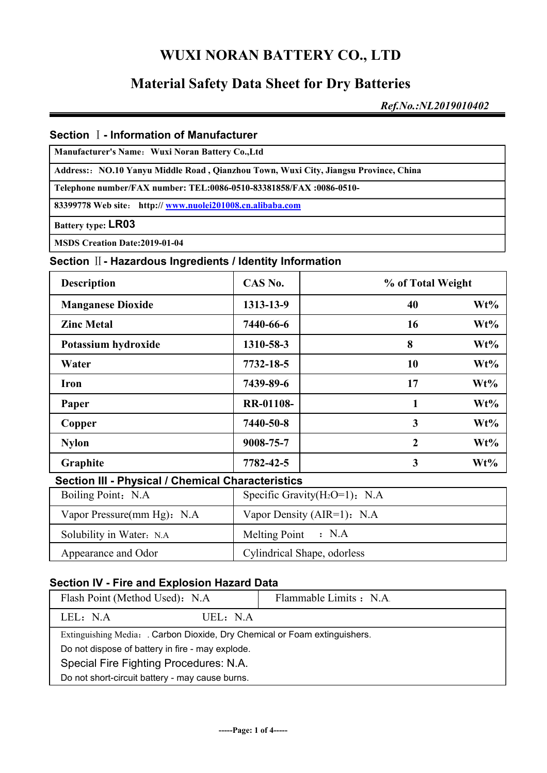## **Material Safety Data Sheet for Dry Batteries**

*Ref.No.:NL2019010402*

#### **Section** Ⅰ**- Information of Manufacturer**

**Manufacturer's Name**:**Wuxi Noran Battery Co.,Ltd**

**Address:**:**NO.10 Yanyu Middle Road , Qianzhou Town, Wuxi City, Jiangsu Province, China**

**Telephone number/FAX number: TEL:0086-0510-83381858/FAX :0086-0510-**

**83399778 Web site**: **http:// www.nuolei201008.cn.alibaba.com**

**Battery type: LR03**

**MSDS Creation Date:2019-01-04**

#### **Section** Ⅱ**- Hazardous Ingredients / Identity Information**

| <b>Description</b>                                | CAS No.                           | % of Total Weight |        |
|---------------------------------------------------|-----------------------------------|-------------------|--------|
| <b>Manganese Dioxide</b>                          | 1313-13-9                         | 40                | Wt%    |
| <b>Zinc Metal</b>                                 | 7440-66-6                         | 16                | $Wt\%$ |
| Potassium hydroxide                               | 1310-58-3                         | 8                 | Wt%    |
| Water                                             | 7732-18-5                         | 10                | $Wt\%$ |
| <b>Iron</b>                                       | 7439-89-6                         | 17                | $Wt\%$ |
| Paper                                             | <b>RR-01108-</b>                  | 1                 | $Wt\%$ |
| Copper                                            | 7440-50-8                         | 3                 | $Wt\%$ |
| <b>Nylon</b>                                      | 9008-75-7                         | $\overline{2}$    | Wt%    |
| Graphite                                          | 7782-42-5                         | 3                 | $Wt\%$ |
| Section III - Physical / Chemical Characteristics |                                   |                   |        |
| Boiling Point: N.A.                               | Specific Gravity $(H_2O=1)$ : N.A |                   |        |

| Boiling Point: N.A.         | Specific Gravity( $H_2O=1$ ): N.A |
|-----------------------------|-----------------------------------|
| Vapor Pressure(mm Hg): N.A. | Vapor Density (AIR=1): N.A.       |
| Solubility in Water: N.A.   | Melting Point $\,$ : N.A          |
| Appearance and Odor         | Cylindrical Shape, odorless       |

#### **Section IV - Fire and Explosion Hazard Data**

| Flash Point (Method Used): N.A.                                          | Flammable Limits : N.A. |  |  |
|--------------------------------------------------------------------------|-------------------------|--|--|
| LEL: N.A<br>UEL: N.A.                                                    |                         |  |  |
| Extinguishing Media: Carbon Dioxide, Dry Chemical or Foam extinguishers. |                         |  |  |
| Do not dispose of battery in fire - may explode.                         |                         |  |  |
| Special Fire Fighting Procedures: N.A.                                   |                         |  |  |
| Do not short-circuit battery - may cause burns.                          |                         |  |  |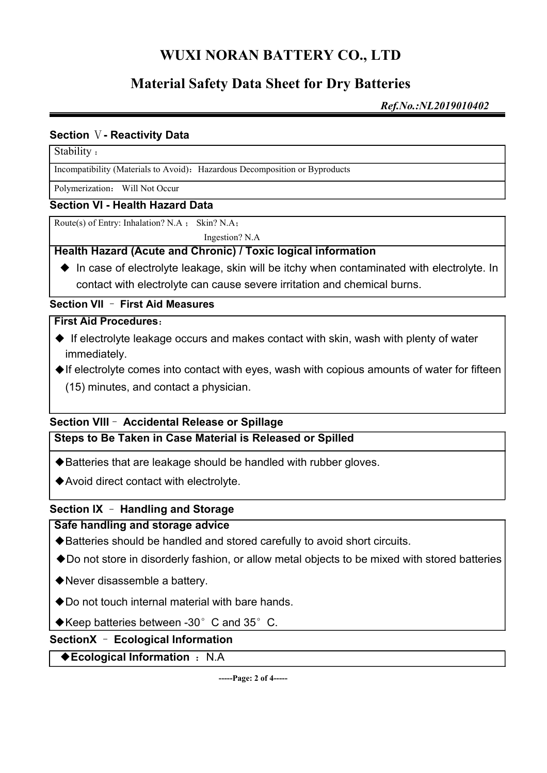# **Material Safety Data Sheet for Dry Batteries**

*Ref.No.:NL2019010402*

#### **Section** Ⅴ**- Reactivity Data**

#### Stability :

Incompatibility (Materials to Avoid): Hazardous Decomposition or Byproducts

Polymerization: Will Not Occur

#### **Section VI - Health Hazard Data**

Route(s) of Entry: Inhalation? N.A ; Skin? N.A;

Ingestion? N.A

#### **Health Hazard (Acute and Chronic) / Toxic logical information**

◆ In case of electrolyte leakage, skin will be itchy when contaminated with electrolyte. In contact with electrolyte can cause severe irritation and chemical burns.

#### **Section VII** – **First Aid Measures**

#### **First Aid Procedures**:

- ◆ If electrolyte leakage occurs and makes contact with skin, wash with plenty of water immediately.
- ◆If electrolyte comes into contact with eyes, wash with copious amounts of water for fifteen (15) minutes, and contact a physician.

# **Section VIII**– **Accidental Release or Spillage**

**Steps to Be Taken in Case Material is Released or Spilled**

- ◆Batteries that are leakage should be handled with rubber gloves.
- ◆Avoid direct contact with electrolyte.

#### **Section IX** – **Handling and Storage**

#### **Safe handling and storage advice**

- ◆Batteries should be handled and stored carefully to avoid short circuits.
- ◆Do not store in disorderly fashion, or allow metal objects to be mixed with stored batteries
- ◆Never disassemble a battery.
- ◆Do not touch internal material with bare hands.
- ◆Keep batteries between -30°C and 35°C.

#### **SectionX** – **Ecological Information**

#### ◆**Ecological Information** : N.A

**-----Page: 2 of 4-----**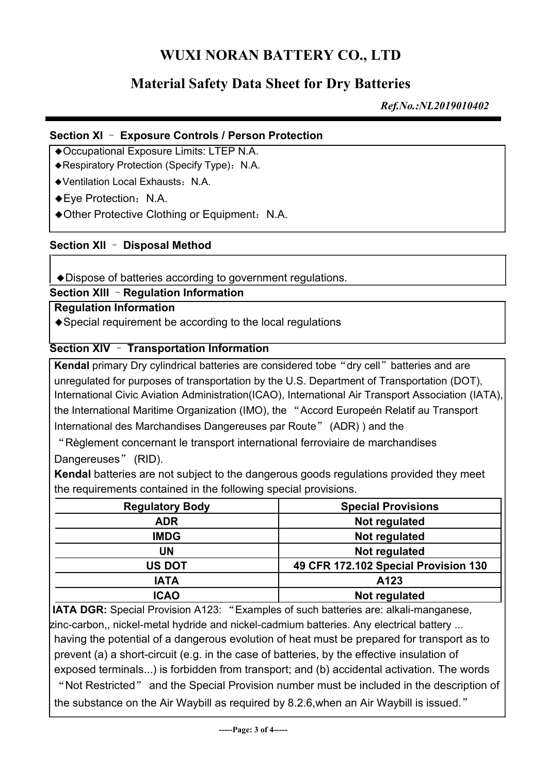## **Material Safety Data Sheet for Dry Batteries**

*Ref.No.:NL2019010402*

#### **Section XI** – **Exposure Controls / Person Protection**

- ◆Occupational Exposure Limits: LTEP N.A.
- ◆Respiratory Protection (Specify Type): N.A.
- ◆Ventilation Local Exhausts: N.A.
- ◆Eve Protection: N.A.
- ◆Other Protective Clothing or Equipment: N.A.

#### **Section XII** – **Disposal Method**

◆Dispose of batteries according to government regulations.

**Section XIII** –**Regulation Information**

#### **Regulation Information**

◆Special requirement be according to the local regulations

#### **Section XIV** – **Transportation Information**

**Kendal** primary Dry cylindrical batteries are considered tobe "dry cell" batteries and are unregulated for purposes of transportation by the U.S. Department of Transportation (DOT), International Civic Aviation Administration(ICAO), International Air Transport Association (IATA), the International Maritime Organization (IMO), the "Accord Europeén Relatif au Transport International des Marchandises Dangereuses par Route" (ADR) ) and the

"Règlement concernant le transport international ferroviaire de marchandises Dangereuses" (RID).

**Kendal** batteries are not subject to the dangerous goods regulations provided they meet the requirements contained in the following special provisions.

| <b>Regulatory Body</b> | <b>Special Provisions</b>            |  |
|------------------------|--------------------------------------|--|
| <b>ADR</b>             | Not regulated                        |  |
| <b>IMDG</b>            | Not regulated                        |  |
| UN                     | Not regulated                        |  |
| <b>US DOT</b>          | 49 CFR 172.102 Special Provision 130 |  |
| <b>IATA</b>            | A123                                 |  |
| <b>ICAO</b>            | Not regulated                        |  |

**IATA DGR:** Special Provision A123: "Examples of such batteries are: alkali-manganese, zinc-carbon,, nickel-metal hydride and nickel-cadmium batteries. Any electrical battery ... having the potential of a dangerous evolution of heat must be prepared for transport as to prevent (a) a short-circuit (e.g. in the case of batteries, by the effective insulation of exposed terminals...) is forbidden from transport: and (b) accidental activation. The words "Not Restricted" and the Special Provision number must be included in the description of the substance on the Air Waybill as required by 8.2.6, when an Air Waybill is issued."